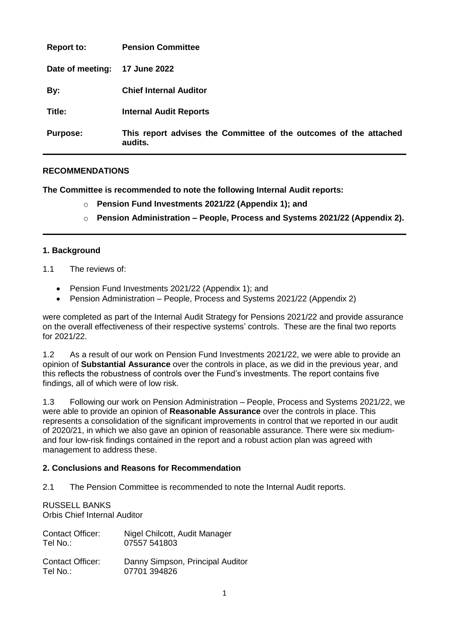| <b>Report to:</b> | <b>Pension Committee</b>                                                     |
|-------------------|------------------------------------------------------------------------------|
| Date of meeting:  | <b>17 June 2022</b>                                                          |
| By:               | <b>Chief Internal Auditor</b>                                                |
| Title:            | <b>Internal Audit Reports</b>                                                |
| <b>Purpose:</b>   | This report advises the Committee of the outcomes of the attached<br>audits. |

## **RECOMMENDATIONS**

**The Committee is recommended to note the following Internal Audit reports:**

- o **Pension Fund Investments 2021/22 (Appendix 1); and**
- o **Pension Administration – People, Process and Systems 2021/22 (Appendix 2).**

## **1. Background**

- 1.1 The reviews of:
	- Pension Fund Investments 2021/22 (Appendix 1); and
	- Pension Administration People, Process and Systems 2021/22 (Appendix 2)

were completed as part of the Internal Audit Strategy for Pensions 2021/22 and provide assurance on the overall effectiveness of their respective systems' controls. These are the final two reports for 2021/22.

1.2 As a result of our work on Pension Fund Investments 2021/22, we were able to provide an opinion of **Substantial Assurance** over the controls in place, as we did in the previous year, and this reflects the robustness of controls over the Fund's investments. The report contains five findings, all of which were of low risk.

1.3 Following our work on Pension Administration – People, Process and Systems 2021/22, we were able to provide an opinion of **Reasonable Assurance** over the controls in place. This represents a consolidation of the significant improvements in control that we reported in our audit of 2020/21, in which we also gave an opinion of reasonable assurance. There were six mediumand four low-risk findings contained in the report and a robust action plan was agreed with management to address these.

## **2. Conclusions and Reasons for Recommendation**

2.1 The Pension Committee is recommended to note the Internal Audit reports.

## RUSSELL BANKS

Orbis Chief Internal Auditor

| <b>Contact Officer:</b> | Nigel Chilcott, Audit Manager    |
|-------------------------|----------------------------------|
| Tel No.:                | 07557 541803                     |
| <b>Contact Officer:</b> | Danny Simpson, Principal Auditor |
| Tel No.:                | 07701 394826                     |